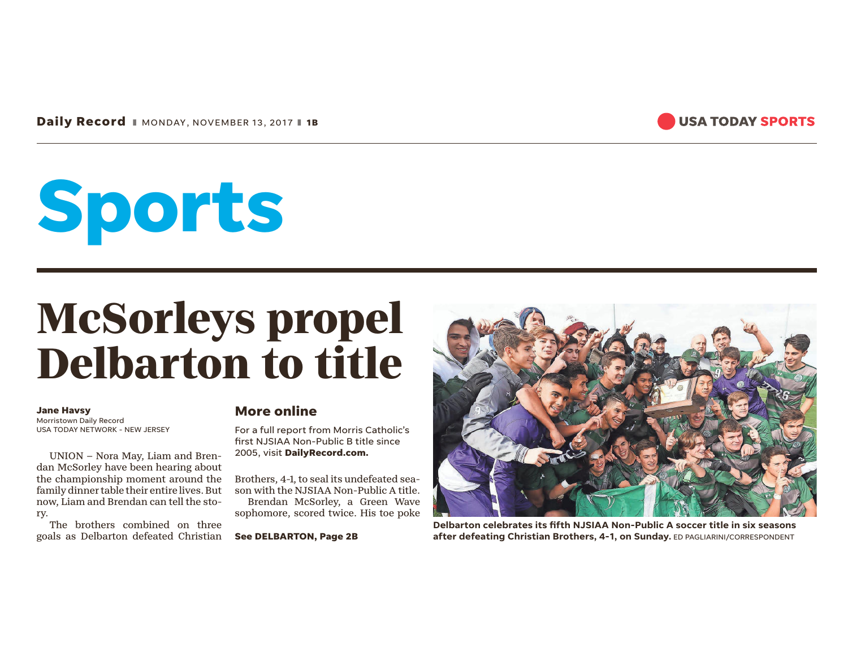**Daily Record** ❚ MONDAY, NOVEMBER 13, 2017 ❚ **1B**



# **Sports**

## **McSorleys propel Delbarton to title**

#### **Jane Havsy**

Morristown Daily Record USA TODAY NETWORK - NEW JERSEY

UNION – Nora May, Liam and Brendan McSorley have been hearing about the championship moment around the family dinner table their entire lives. But now, Liam and Brendan can tell the story.

The brothers combined on three goals as Delbarton defeated Christian

#### **More online**

For a full report from Morris Catholic's first NJSIAA Non-Public B title since 2005, visit **DailyRecord.com.** 

Brothers, 4-1, to seal its undefeated season with the NJSIAA Non-Public A title. Brendan McSorley, a Green Wave sophomore, scored twice. His toe poke

**See DELBARTON, Page 2B**



**Delbarton celebrates its fifth NJSIAA Non-Public A soccer title in six seasons after defeating Christian Brothers, 4-1, on Sunday.** ED PAGLIARINI/CORRESPONDENT